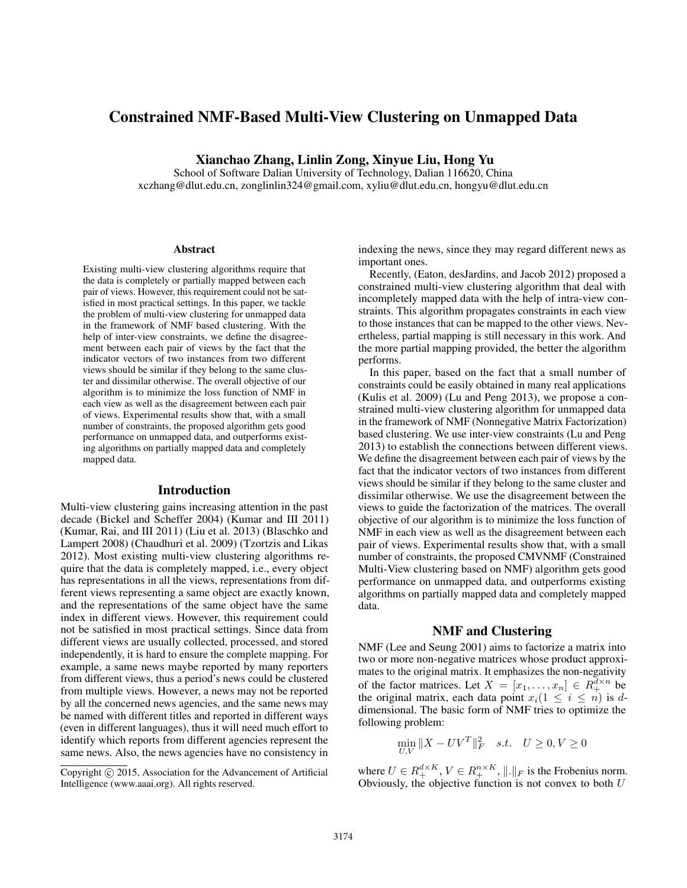# Constrained NMF-Based Multi-View Clustering on Unmapped Data

Xianchao Zhang, Linlin Zong, Xinyue Liu, Hong Yu

School of Software Dalian University of Technology, Dalian 116620, China xczhang@dlut.edu.cn, zonglinlin324@gmail.com, xyliu@dlut.edu.cn, hongyu@dlut.edu.cn

#### Abstract

Existing multi-view clustering algorithms require that the data is completely or partially mapped between each pair of views. However, this requirement could not be satisfied in most practical settings. In this paper, we tackle the problem of multi-view clustering for unmapped data in the framework of NMF based clustering. With the help of inter-view constraints, we define the disagreement between each pair of views by the fact that the indicator vectors of two instances from two different views should be similar if they belong to the same cluster and dissimilar otherwise. The overall objective of our algorithm is to minimize the loss function of NMF in each view as well as the disagreement between each pair of views. Experimental results show that, with a small number of constraints, the proposed algorithm gets good performance on unmapped data, and outperforms existing algorithms on partially mapped data and completely mapped data.

#### Introduction

Multi-view clustering gains increasing attention in the past decade (Bickel and Scheffer 2004) (Kumar and III 2011) (Kumar, Rai, and III 2011) (Liu et al. 2013) (Blaschko and Lampert 2008) (Chaudhuri et al. 2009) (Tzortzis and Likas 2012). Most existing multi-view clustering algorithms require that the data is completely mapped, i.e., every object has representations in all the views, representations from different views representing a same object are exactly known, and the representations of the same object have the same index in different views. However, this requirement could not be satisfied in most practical settings. Since data from different views are usually collected, processed, and stored independently, it is hard to ensure the complete mapping. For example, a same news maybe reported by many reporters from different views, thus a period's news could be clustered from multiple views. However, a news may not be reported by all the concerned news agencies, and the same news may be named with different titles and reported in different ways (even in different languages), thus it will need much effort to identify which reports from different agencies represent the same news. Also, the news agencies have no consistency in

indexing the news, since they may regard different news as important ones.

Recently, (Eaton, desJardins, and Jacob 2012) proposed a constrained multi-view clustering algorithm that deal with incompletely mapped data with the help of intra-view constraints. This algorithm propagates constraints in each view to those instances that can be mapped to the other views. Nevertheless, partial mapping is still necessary in this work. And the more partial mapping provided, the better the algorithm performs.

In this paper, based on the fact that a small number of constraints could be easily obtained in many real applications (Kulis et al. 2009) (Lu and Peng 2013), we propose a constrained multi-view clustering algorithm for unmapped data in the framework of NMF (Nonnegative Matrix Factorization) based clustering. We use inter-view constraints (Lu and Peng 2013) to establish the connections between different views. We define the disagreement between each pair of views by the fact that the indicator vectors of two instances from different views should be similar if they belong to the same cluster and dissimilar otherwise. We use the disagreement between the views to guide the factorization of the matrices. The overall objective of our algorithm is to minimize the loss function of NMF in each view as well as the disagreement between each pair of views. Experimental results show that, with a small number of constraints, the proposed CMVNMF (Constrained Multi-View clustering based on NMF) algorithm gets good performance on unmapped data, and outperforms existing algorithms on partially mapped data and completely mapped data.

#### NMF and Clustering

NMF (Lee and Seung 2001) aims to factorize a matrix into two or more non-negative matrices whose product approximates to the original matrix. It emphasizes the non-negativity of the factor matrices. Let  $X = [x_1, ..., x_n] \in R_+^{\overline{d} \times n}$  be the original matrix each data point  $x_i (1 \leq i \leq n)$  is d. the original matrix, each data point  $x_i(1 \leq i \leq n)$  is d-<br>dimensional. The basic form of NMF tries to optimize the dimensional. The basic form of NMF tries to optimize the following problem:

$$
\min_{U,V} \|X - UV^T\|_F^2 \quad s.t. \quad U \ge 0, V \ge 0
$$

where  $U \in R_+^{d \times K}$ ,  $V \in R_+^{n \times K}$ ,  $\|\cdot\|_F$  is the Frobenius norm.<br>Obviously, the objective function is not convex to both U

Copyright  $\odot$  2015, Association for the Advancement of Artificial Intelligence (www.aaai.org). All rights reserved.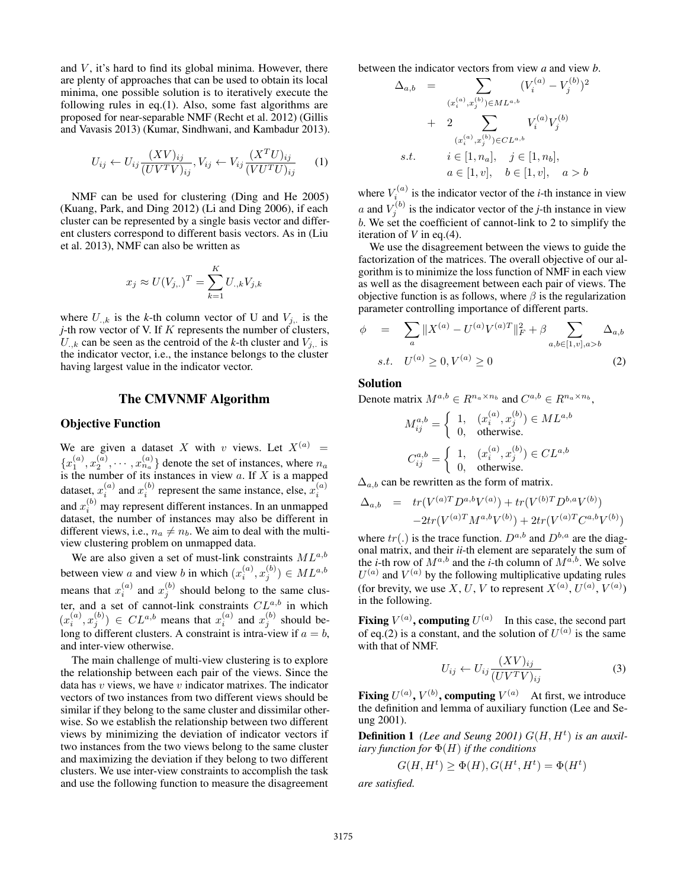and  $V$ , it's hard to find its global minima. However, there are plenty of approaches that can be used to obtain its local minima, one possible solution is to iteratively execute the following rules in eq.(1). Also, some fast algorithms are proposed for near-separable NMF (Recht et al. 2012) (Gillis and Vavasis 2013) (Kumar, Sindhwani, and Kambadur 2013).

$$
U_{ij} \leftarrow U_{ij} \frac{(XV)_{ij}}{(UV^T V)_{ij}}, V_{ij} \leftarrow V_{ij} \frac{(X^T U)_{ij}}{(V U^T U)_{ij}} \qquad (1)
$$

NMF can be used for clustering (Ding and He 2005) (Kuang, Park, and Ding 2012) (Li and Ding 2006), if each cluster can be represented by a single basis vector and different clusters correspond to different basis vectors. As in (Liu et al. 2013), NMF can also be written as

$$
x_j \approx U(V_{j,.})^T = \sum_{k=1}^K U_{.,k} V_{j,k}
$$

where  $U_{k,k}$  is the *k*-th column vector of U and  $V_{j,k}$  is the *j*-th row vector of V. If K represents the number of clusters,  $U_{k}$  can be seen as the centroid of the *k*-th cluster and  $V_{i}$  is the indicator vector, i.e., the instance belongs to the cluster having largest value in the indicator vector.

### The CMVNMF Algorithm

#### Objective Function

We are given a dataset X with v views. Let  $X^{(a)}$  =  ${x_1^{(a)}, x_2^{(a)}, \cdots, x_{n_a}^{(a)}}$  denote the set of instances, where  $n_a$  is the number of its instances in view a. If X is a mapped dataset,  $x_i^{(a)}$  and  $x_i^{(b)}$  represent the same instance, else,  $x_i^{(a)}$ and  $x_i^{(b)}$  may represent different instances. In an unmapped dataset, the number of instances may also be different in different views, i.e.,  $n_a \neq n_b$ . We aim to deal with the multiview clustering problem on unmapped data.

We are also given a set of must-link constraints  $ML^{a,b}$ between view a and view b in which  $(x_i^{(a)}, x_j^{(b)}) \in ML^{a,b}$ <br>means that  $x_i^{(a)}$  and  $x_j^{(b)}$  should belong to the same cluster, and a set of cannot-link constraints  $CL^{a,b}$  in which  $(x_i^{(a)}, x_j^{(b)}) \in CL^{a,b}$  means that  $x_i^{(a)}$  and  $x_j^{(b)}$  should be-<br>long to different clusters. A constraint is intra-view if  $a - b$ long to different clusters. A constraint is intra-view if  $a = b$ , and inter-view otherwise.

The main challenge of multi-view clustering is to explore the relationship between each pair of the views. Since the data has  $v$  views, we have  $v$  indicator matrixes. The indicator vectors of two instances from two different views should be similar if they belong to the same cluster and dissimilar otherwise. So we establish the relationship between two different views by minimizing the deviation of indicator vectors if two instances from the two views belong to the same cluster and maximizing the deviation if they belong to two different clusters. We use inter-view constraints to accomplish the task and use the following function to measure the disagreement

between the indicator vectors from view *a* and view *b*.

$$
\Delta_{a,b} = \sum_{(x_i^{(a)}, x_j^{(b)}) \in ML^{a,b}} (V_i^{(a)} - V_j^{(b)})^2
$$
  
+ 
$$
2 \sum_{(x_i^{(a)}, x_j^{(b)}) \in CL^{a,b}} V_i^{(a)} V_j^{(b)}
$$
  
s.t.  $i \in [1, n_a], j \in [1, n_b],$   
 $a \in [1, v], b \in [1, v], a > b$ 

where  $V_i^{(a)}$  is the indicator vector of the *i*-th instance in view a and  $V_i^{(b)}$  is the indicator vector of the *j*-th instance in view b. We set the coefficient of cannot-link to 2 to simplify the iteration of *V* in eq.(4).

We use the disagreement between the views to guide the factorization of the matrices. The overall objective of our algorithm is to minimize the loss function of NMF in each view as well as the disagreement between each pair of views. The objective function is as follows, where  $\beta$  is the regularization parameter controlling importance of different parts.

$$
\phi = \sum_{a} \|X^{(a)} - U^{(a)}V^{(a)T}\|_{F}^{2} + \beta \sum_{a,b \in [1,v], a > b} \Delta_{a,b}
$$
  
s.t.  $U^{(a)} \ge 0, V^{(a)} \ge 0$  (2)

#### Solution

Denote matrix  $M^{a,b} \in R^{n_a \times n_b}$  and  $C^{a,b} \in R^{n_a \times n_b}$ ,

$$
M_{ij}^{a,b} = \begin{cases} 1, & (x_i^{(a)}, x_j^{(b)}) \in ML^{a,b} \\ 0, & \text{otherwise.} \end{cases}
$$

$$
C_{ij}^{a,b} = \begin{cases} 1, & (x_i^{(a)}, x_j^{(b)}) \in CL^{a,b} \\ 0, & \text{otherwise.} \end{cases}
$$

 $\Delta_{a,b}$  can be rewritten as the form of matrix.

$$
\Delta_{a,b} = tr(V^{(a)T}D^{a,b}V^{(a)}) + tr(V^{(b)T}D^{b,a}V^{(b)}) -2tr(V^{(a)T}M^{a,b}V^{(b)}) + 2tr(V^{(a)T}C^{a,b}V^{(b)})
$$

 $-2tr(V^{(a)T}M^{a,b}V^{(b)}) + 2tr(V^{(a)T}C^{a,b}V^{(b)})$ <br>where  $tr(.)$  is the trace function.  $D^{a,b}$  and  $D^{b,a}$  are the diag-<br>onal matrix and their *ii*-th element are senarately the sum of onal matrix, and their *ii*-th element are separately the sum of the *i*-th row of  $M^{a,b}$  and the *i*-th column of  $M^{a,b}$ . We solve  $U^{(a)}$  and  $V^{(a)}$  by the following multiplicative updating rules (for brevity, we use X, U, V to represent  $X^{(a)}$ ,  $U^{(a)}$ ,  $V^{(a)}$ ) in the following.

**Fixing**  $V^{(a)}$ , computing  $U^{(a)}$  In this case, the second part of eq.(2) is a constant, and the solution of  $U^{(a)}$  is the same with that of NMF.

$$
U_{ij} \leftarrow U_{ij} \frac{(XV)_{ij}}{(UV^T V)_{ij}} \tag{3}
$$

Fixing  $U^{(a)}$ ,  $V^{(b)}$ , computing  $V^{(a)}$  At first, we introduce the definition and lemma of auxiliary function (Lee and Seung 2001).

**Definition 1** (Lee and Seung 2001)  $G(H, H<sup>t</sup>)$  is an auxil-<br>*iary* function for  $\Phi(H)$  if the conditions *iary function for* Φ(H) *if the conditions*

$$
G(H, Ht) \ge \Phi(H), G(Ht, Ht) = \Phi(Ht)
$$

*are satisfied.*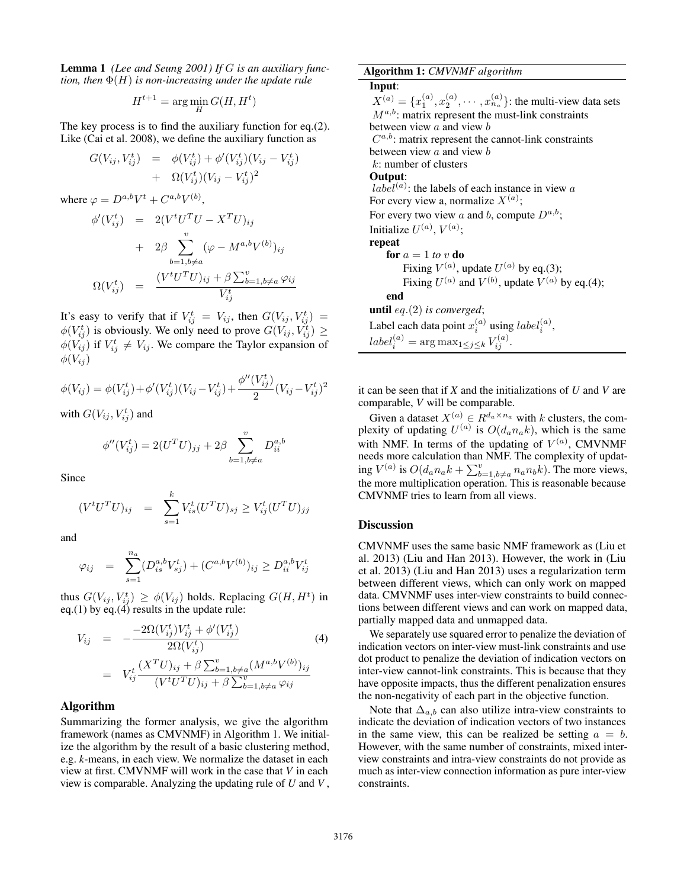Lemma 1 *(Lee and Seung 2001) If* G *is an auxiliary function, then* Φ(H) *is non-increasing under the update rule*

$$
H^{t+1} = \arg\min_{H} G(H, H^t)
$$

The key process is to find the auxiliary function for eq.(2). Like (Cai et al. 2008), we define the auxiliary function as

$$
G(V_{ij}, V_{ij}^t) = \phi(V_{ij}^t) + \phi'(V_{ij}^t)(V_{ij} - V_{ij}^t) + \Omega(V_{ij}^t)(V_{ij} - V_{ij}^t)^2
$$

where  $\varphi = D^{a,b}V^t + C^{a,b}V^{(b)}$ ,

$$
\begin{array}{rcl}\n\phi'(V_{ij}^t) & = & 2(V^t U^T U - X^T U)_{ij} \\
& & + & 2\beta \sum_{b=1, b \neq a}^v (\varphi - M^{a, b} V^{(b)})_{ij} \\
\Omega(V_{ij}^t) & = & \frac{(V^t U^T U)_{ij} + \beta \sum_{b=1, b \neq a}^v \varphi_{ij}}{V_{ij}^t}\n\end{array}
$$

It's easy to verify that if  $V_{ij}^t = V_{ij}$ , then  $G(V_{ij}, V_{ij}^t) = \phi(V_{ij}^t)$  is obviously. We only need to prove  $G(V_{ij}, V_{ij}^t) \ge \phi(V_{i})$  if  $V_t^t \neq V_{i}$ . We compare the Taylor expansion of  $\phi(V_{ij})$  if  $V_{ij}^t \neq V_{ij}$ . We compare the Taylor expansion of  $\phi(V_{ii})$ 

$$
\phi(V_{ij}) = \phi(V_{ij}^t) + \phi'(V_{ij}^t)(V_{ij} - V_{ij}^t) + \frac{\phi''(V_{ij}^t)}{2}(V_{ij} - V_{ij}^t)^2
$$

with  $G(V_{ij}, V_{ij}^t)$  and

$$
\phi''(V_{ij}^t) = 2(U^T U)_{jj} + 2\beta \sum_{b=1, b \neq a}^{v} D_{ii}^{a,b}
$$

Since

$$
(V^{t}U^{T}U)_{ij} = \sum_{s=1}^{k} V_{is}^{t}(U^{T}U)_{sj} \geq V_{ij}^{t}(U^{T}U)_{jj}
$$

and

$$
\varphi_{ij} = \sum_{s=1}^{n_a} (D_{is}^{a,b} V_{sj}^t) + (C^{a,b} V^{(b)})_{ij} \ge D_{ii}^{a,b} V_{ij}^t
$$

thus  $G(V_{ij}, V_{ij}^t) \ge \phi(V_{ij})$  holds. Replacing  $G(H, H^t)$  in eq. (1) by eq. (4) results in the undate rule: eq.(1) by eq.(4) results in the update rule:

$$
V_{ij} = -\frac{-2\Omega(V_{ij}^t)V_{ij}^t + \phi'(V_{ij}^t)}{2\Omega(V_{ij}^t)}
$$
(4)  

$$
= V_{ij}^t \frac{(X^T U)_{ij} + \beta \sum_{b=1, b \neq a}^v (M^{a,b} V^{(b)})_{ij}}{(V^t U^T U)_{ij} + \beta \sum_{b=1, b \neq a}^v \varphi_{ij}}
$$

## Algorithm

Summarizing the former analysis, we give the algorithm framework (names as CMVNMF) in Algorithm 1. We initialize the algorithm by the result of a basic clustering method, e.g. *k*-means, in each view. We normalize the dataset in each view at first. CMVNMF will work in the case that *V* in each view is comparable. Analyzing the updating rule of *U* and *V* , Algorithm 1: *CMVNMF algorithm* Input:  $X^{(a)} = \{x_1^{(a)}, x_2^{(a)}, \cdots, x_{n_a}^{(a)}\}$ : the multi-view data sets  $M^{a,b}$  matrix represent the must-link constraints  $M^{a,b}$ : matrix represent the must-link constraints between view  $a$  and view  $b$  $C^{a,b}$ : matrix represent the cannot-link constraints between view  $a$  and view  $b$ k: number of clusters Output:  $label^{(a)}$ : the labels of each instance in view a For every view a, normalize  $X^{(a)}$ ; For every two view a and b, compute  $D^{a,b}$ ; Initialize  $U^{(a)}$ ,  $V^{(a)}$ ; repeat for  $a = 1$  *to* v **do** Fixing  $V^{(a)}$ , update  $U^{(a)}$  by eq.(3); Fixing  $U^{(a)}$  and  $V^{(b)}$ , update  $V^{(a)}$  by eq.(4); end until eq.(2) *is converged*; Label each data point  $x_i^{(a)}$  using  $label_i^{(a)}$ ,  $label_i^{(a)} = \arg \max_{1 \leq j \leq k} V_{ij}^{(a)}$ .

it can be seen that if *X* and the initializations of *U* and *V* are comparable, *V* will be comparable.

Given a dataset  $X^{(a)} \in R^{d_a \times n_a}$  with k clusters, the complexity of updating  $U^{(a)}$  is  $O(d_a n_a k)$ , which is the same with NMF. In terms of the updating of  $V^{(a)}$ , CMVNMF needs more calculation than NMF. The complexity of updating  $V^{(a)}$  is  $O(d_a n_a k + \sum_{b=1, b \neq a}^{v} n_a n_b k)$ . The more views,<br>the more multiplication operation. This is reasonable because CMVNMF tries to learn from all views.

### Discussion

CMVNMF uses the same basic NMF framework as (Liu et al. 2013) (Liu and Han 2013). However, the work in (Liu et al. 2013) (Liu and Han 2013) uses a regularization term between different views, which can only work on mapped data. CMVNMF uses inter-view constraints to build connections between different views and can work on mapped data, partially mapped data and unmapped data.

We separately use squared error to penalize the deviation of indication vectors on inter-view must-link constraints and use dot product to penalize the deviation of indication vectors on inter-view cannot-link constraints. This is because that they have opposite impacts, thus the different penalization ensures the non-negativity of each part in the objective function.

Note that  $\Delta_{a,b}$  can also utilize intra-view constraints to indicate the deviation of indication vectors of two instances in the same view, this can be realized be setting  $a = b$ . However, with the same number of constraints, mixed interview constraints and intra-view constraints do not provide as much as inter-view connection information as pure inter-view constraints.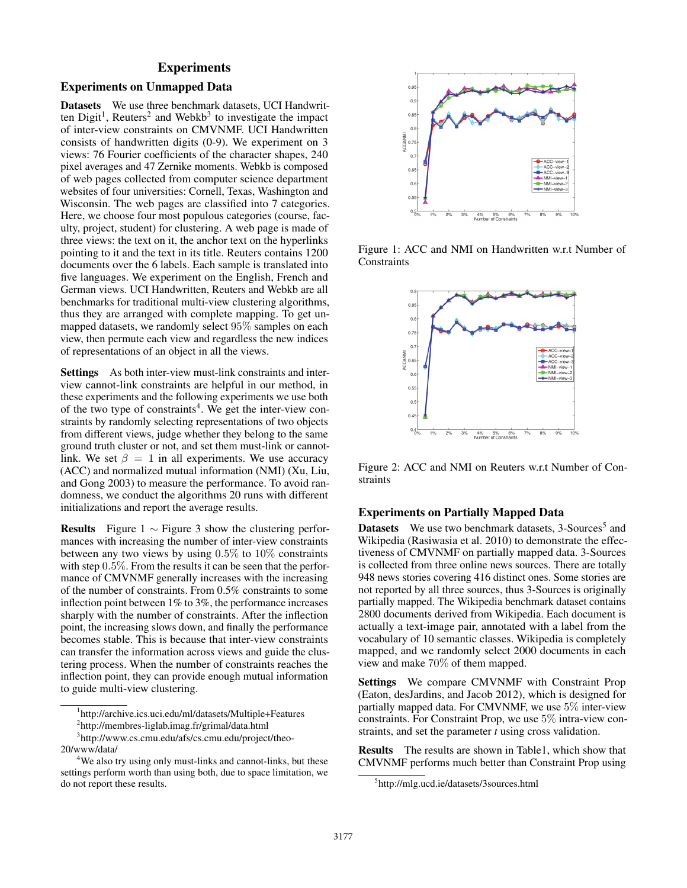# **Experiments**

## Experiments on Unmapped Data

Datasets We use three benchmark datasets, UCI Handwritten  $Digit<sup>1</sup>$ , Reuters<sup>2</sup> and Webkb<sup>3</sup> to investigate the impact of inter-view constraints on CMVNMF. UCI Handwritten consists of handwritten digits (0-9). We experiment on 3 views: 76 Fourier coefficients of the character shapes, 240 pixel averages and 47 Zernike moments. Webkb is composed of web pages collected from computer science department websites of four universities: Cornell, Texas, Washington and Wisconsin. The web pages are classified into 7 categories. Here, we choose four most populous categories (course, faculty, project, student) for clustering. A web page is made of three views: the text on it, the anchor text on the hyperlinks pointing to it and the text in its title. Reuters contains 1200 documents over the 6 labels. Each sample is translated into five languages. We experiment on the English, French and German views. UCI Handwritten, Reuters and Webkb are all benchmarks for traditional multi-view clustering algorithms, thus they are arranged with complete mapping. To get unmapped datasets, we randomly select 95% samples on each view, then permute each view and regardless the new indices of representations of an object in all the views.

Settings As both inter-view must-link constraints and interview cannot-link constraints are helpful in our method, in these experiments and the following experiments we use both of the two type of constraints<sup>4</sup>. We get the inter-view constraints by randomly selecting representations of two objects from different views, judge whether they belong to the same ground truth cluster or not, and set them must-link or cannotlink. We set  $\beta = 1$  in all experiments. We use accuracy (ACC) and normalized mutual information (NMI) (Xu, Liu, and Gong 2003) to measure the performance. To avoid randomness, we conduct the algorithms 20 runs with different initializations and report the average results.

**Results** Figure 1  $\sim$  Figure 3 show the clustering performances with increasing the number of inter-view constraints between any two views by using 0.5% to 10% constraints with step 0.5%. From the results it can be seen that the performance of CMVNMF generally increases with the increasing of the number of constraints. From 0.5% constraints to some inflection point between 1% to 3%, the performance increases sharply with the number of constraints. After the inflection point, the increasing slows down, and finally the performance becomes stable. This is because that inter-view constraints can transfer the information across views and guide the clustering process. When the number of constraints reaches the inflection point, they can provide enough mutual information to guide multi-view clustering.

1 http://archive.ics.uci.edu/ml/datasets/Multiple+Features



Figure 1: ACC and NMI on Handwritten w.r.t Number of **Constraints** 



Figure 2: ACC and NMI on Reuters w.r.t Number of Constraints

## Experiments on Partially Mapped Data

**Datasets** We use two benchmark datasets, 3-Sources<sup>5</sup> and Wikipedia (Rasiwasia et al. 2010) to demonstrate the effectiveness of CMVNMF on partially mapped data. 3-Sources is collected from three online news sources. There are totally 948 news stories covering 416 distinct ones. Some stories are not reported by all three sources, thus 3-Sources is originally partially mapped. The Wikipedia benchmark dataset contains 2800 documents derived from Wikipedia. Each document is actually a text-image pair, annotated with a label from the vocabulary of 10 semantic classes. Wikipedia is completely mapped, and we randomly select 2000 documents in each view and make 70% of them mapped.

Settings We compare CMVNMF with Constraint Prop (Eaton, desJardins, and Jacob 2012), which is designed for partially mapped data. For CMVNMF, we use 5% inter-view constraints. For Constraint Prop, we use 5% intra-view constraints, and set the parameter *t* using cross validation.

Results The results are shown in Table1, which show that CMVNMF performs much better than Constraint Prop using

<sup>2</sup> http://membres-liglab.imag.fr/grimal/data.html

<sup>3</sup> http://www.cs.cmu.edu/afs/cs.cmu.edu/project/theo-20/www/data/

<sup>&</sup>lt;sup>4</sup>We also try using only must-links and cannot-links, but these settings perform worth than using both, due to space limitation, we do not report these results.

<sup>5</sup> http://mlg.ucd.ie/datasets/3sources.html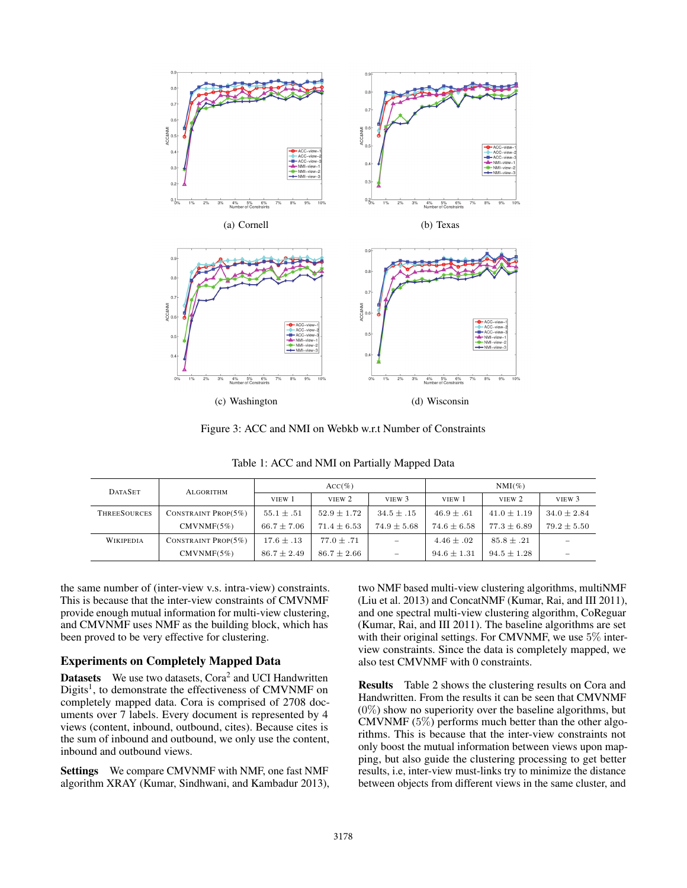

Figure 3: ACC and NMI on Webkb w.r.t Number of Constraints

|  |  | Table 1: ACC and NMI on Partially Mapped Data |
|--|--|-----------------------------------------------|
|  |  |                                               |

| <b>DATASET</b>      | ALGORITHM               | $ACC(\%)$       |                 |                 | $NMI(\%)$       |                 |                          |
|---------------------|-------------------------|-----------------|-----------------|-----------------|-----------------|-----------------|--------------------------|
|                     |                         | VIEW 1          | VIEW 2          | VIEW 3          | VIEW 1          | VIEW 2          | VIEW 3                   |
| <b>THREESOURCES</b> | CONSTRAINT PROP $(5\%)$ | $55.1 \pm .51$  | $52.9 \pm 1.72$ | $34.5 \pm .15$  | $46.9 \pm .61$  | $41.0 \pm 1.19$ | $34.0 \pm 2.84$          |
|                     | CMVNMF(5%)              | $66.7 \pm 7.06$ | $71.4 \pm 6.53$ | $74.9 \pm 5.68$ | $74.6 \pm 6.58$ | $77.3 \pm 6.89$ | $79.2 \pm 5.50$          |
| <b>WIKIPEDIA</b>    | CONSTRAINT PROP $(5\%)$ | $17.6 \pm .13$  | $77.0 \pm .71$  | -               | $4.46 \pm .02$  | $85.8 \pm .21$  | $\overline{\phantom{0}}$ |
|                     | CMVNMF(5%)              | $86.7 \pm 2.49$ | $86.7 \pm 2.66$ | -               | $94.6 \pm 1.31$ | $94.5 \pm 1.28$ | $\overline{\phantom{a}}$ |

the same number of (inter-view v.s. intra-view) constraints. This is because that the inter-view constraints of CMVNMF provide enough mutual information for multi-view clustering, and CMVNMF uses NMF as the building block, which has been proved to be very effective for clustering.

# Experiments on Completely Mapped Data

Datasets We use two datasets, Cora<sup>2</sup> and UCI Handwritten Digits<sup>1</sup>, to demonstrate the effectiveness of CMVNMF on completely mapped data. Cora is comprised of 2708 documents over 7 labels. Every document is represented by 4 views (content, inbound, outbound, cites). Because cites is the sum of inbound and outbound, we only use the content, inbound and outbound views.

Settings We compare CMVNMF with NMF, one fast NMF algorithm XRAY (Kumar, Sindhwani, and Kambadur 2013), two NMF based multi-view clustering algorithms, multiNMF (Liu et al. 2013) and ConcatNMF (Kumar, Rai, and III 2011), and one spectral multi-view clustering algorithm, CoReguar (Kumar, Rai, and III 2011). The baseline algorithms are set with their original settings. For CMVNMF, we use 5% interview constraints. Since the data is completely mapped, we also test CMVNMF with 0 constraints.

Results Table 2 shows the clustering results on Cora and Handwritten. From the results it can be seen that CMVNMF  $(0\%)$  show no superiority over the baseline algorithms, but CMVNMF  $(5\%)$  performs much better than the other algorithms. This is because that the inter-view constraints not only boost the mutual information between views upon mapping, but also guide the clustering processing to get better results, i.e, inter-view must-links try to minimize the distance between objects from different views in the same cluster, and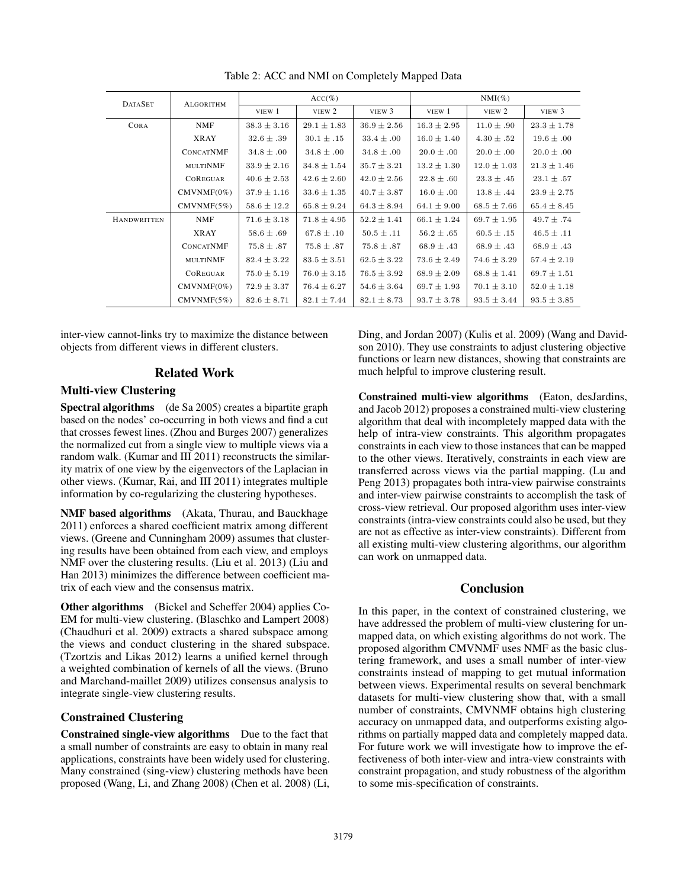| <b>DATASET</b>     | <b>ALGORITHM</b> | $ACC(\%)$       |                 |                 | $NMI(\%)$       |                 |                 |
|--------------------|------------------|-----------------|-----------------|-----------------|-----------------|-----------------|-----------------|
|                    |                  | VIEW 1          | VIEW 2          | VIEW 3          | VIEW 1          | VIEW 2          | VIEW 3          |
| CORA               | <b>NMF</b>       | $38.3 \pm 3.16$ | $29.1 \pm 1.83$ | $36.9 \pm 2.56$ | $16.3 \pm 2.95$ | $11.0 \pm .90$  | $23.3 \pm 1.78$ |
|                    | <b>XRAY</b>      | $32.6 \pm .39$  | $30.1 \pm .15$  | $33.4 \pm .00$  | $16.0 \pm 1.40$ | $4.30 \pm .52$  | $19.6 \pm .00$  |
|                    | <b>CONCATNMF</b> | $34.8 \pm .00$  | $34.8 \pm .00$  | $34.8 \pm .00$  | $20.0 \pm .00$  | $20.0 \pm .00$  | $20.0 \pm .00$  |
|                    | MULTINMF         | $33.9 \pm 2.16$ | $34.8 \pm 1.54$ | $35.7 \pm 3.21$ | $13.2 \pm 1.30$ | $12.0 \pm 1.03$ | $21.3 \pm 1.46$ |
|                    | <b>COREGUAR</b>  | $40.6 \pm 2.53$ | $42.6 \pm 2.60$ | $42.0 \pm 2.56$ | $22.8 \pm .60$  | $23.3 \pm .45$  | $23.1 \pm .57$  |
|                    | $CMVNMF(0\%)$    | $37.9 \pm 1.16$ | $33.6 \pm 1.35$ | $40.7 \pm 3.87$ | $16.0 \pm .00$  | $13.8 \pm .44$  | $23.9 \pm 2.75$ |
|                    | CMVNMF(5%)       | $58.6 \pm 12.2$ | $65.8 \pm 9.24$ | $64.3 \pm 8.94$ | $64.1 \pm 9.00$ | $68.5 \pm 7.66$ | $65.4 \pm 8.45$ |
| <b>HANDWRITTEN</b> | <b>NMF</b>       | $71.6 \pm 3.18$ | $71.8 \pm 4.95$ | $52.2 \pm 1.41$ | $66.1 \pm 1.24$ | $69.7 \pm 1.95$ | $49.7 \pm .74$  |
|                    | <b>XRAY</b>      | $58.6 \pm .69$  | $67.8 \pm .10$  | $50.5 \pm .11$  | $56.2 \pm .65$  | $60.5 \pm .15$  | $46.5 \pm .11$  |
|                    | <b>CONCATNMF</b> | $75.8 \pm .87$  | $75.8 \pm .87$  | $75.8 \pm .87$  | $68.9 \pm .43$  | $68.9 \pm .43$  | $68.9 \pm .43$  |
|                    | MULTINMF         | $82.4 \pm 3.22$ | $83.5 \pm 3.51$ | $62.5 \pm 3.22$ | $73.6 \pm 2.49$ | $74.6 \pm 3.29$ | $57.4 \pm 2.19$ |
|                    | <b>COREGUAR</b>  | $75.0 \pm 5.19$ | $76.0 \pm 3.15$ | $76.5 \pm 3.92$ | $68.9 \pm 2.09$ | $68.8 \pm 1.41$ | $69.7 \pm 1.51$ |
|                    | $CMVNMF(0\%)$    | $72.9 \pm 3.37$ | $76.4 \pm 6.27$ | $54.6 \pm 3.64$ | $69.7 \pm 1.93$ | $70.1 \pm 3.10$ | $52.0 \pm 1.18$ |
|                    | CMVNMF(5%)       | $82.6 \pm 8.71$ | $82.1 \pm 7.44$ | $82.1 \pm 8.73$ | $93.7 \pm 3.78$ | $93.5 \pm 3.44$ | $93.5 \pm 3.85$ |

Table 2: ACC and NMI on Completely Mapped Data

inter-view cannot-links try to maximize the distance between objects from different views in different clusters.

# Related Work

# Multi-view Clustering

Spectral algorithms (de Sa 2005) creates a bipartite graph based on the nodes' co-occurring in both views and find a cut that crosses fewest lines. (Zhou and Burges 2007) generalizes the normalized cut from a single view to multiple views via a random walk. (Kumar and III 2011) reconstructs the similarity matrix of one view by the eigenvectors of the Laplacian in other views. (Kumar, Rai, and III 2011) integrates multiple information by co-regularizing the clustering hypotheses.

NMF based algorithms (Akata, Thurau, and Bauckhage 2011) enforces a shared coefficient matrix among different views. (Greene and Cunningham 2009) assumes that clustering results have been obtained from each view, and employs NMF over the clustering results. (Liu et al. 2013) (Liu and Han 2013) minimizes the difference between coefficient matrix of each view and the consensus matrix.

Other algorithms (Bickel and Scheffer 2004) applies Co-EM for multi-view clustering. (Blaschko and Lampert 2008) (Chaudhuri et al. 2009) extracts a shared subspace among the views and conduct clustering in the shared subspace. (Tzortzis and Likas 2012) learns a unified kernel through a weighted combination of kernels of all the views. (Bruno and Marchand-maillet 2009) utilizes consensus analysis to integrate single-view clustering results.

# Constrained Clustering

Constrained single-view algorithms Due to the fact that a small number of constraints are easy to obtain in many real applications, constraints have been widely used for clustering. Many constrained (sing-view) clustering methods have been proposed (Wang, Li, and Zhang 2008) (Chen et al. 2008) (Li, Ding, and Jordan 2007) (Kulis et al. 2009) (Wang and Davidson 2010). They use constraints to adjust clustering objective functions or learn new distances, showing that constraints are much helpful to improve clustering result.

Constrained multi-view algorithms (Eaton, desJardins, and Jacob 2012) proposes a constrained multi-view clustering algorithm that deal with incompletely mapped data with the help of intra-view constraints. This algorithm propagates constraints in each view to those instances that can be mapped to the other views. Iteratively, constraints in each view are transferred across views via the partial mapping. (Lu and Peng 2013) propagates both intra-view pairwise constraints and inter-view pairwise constraints to accomplish the task of cross-view retrieval. Our proposed algorithm uses inter-view constraints (intra-view constraints could also be used, but they are not as effective as inter-view constraints). Different from all existing multi-view clustering algorithms, our algorithm can work on unmapped data.

# Conclusion

In this paper, in the context of constrained clustering, we have addressed the problem of multi-view clustering for unmapped data, on which existing algorithms do not work. The proposed algorithm CMVNMF uses NMF as the basic clustering framework, and uses a small number of inter-view constraints instead of mapping to get mutual information between views. Experimental results on several benchmark datasets for multi-view clustering show that, with a small number of constraints, CMVNMF obtains high clustering accuracy on unmapped data, and outperforms existing algorithms on partially mapped data and completely mapped data. For future work we will investigate how to improve the effectiveness of both inter-view and intra-view constraints with constraint propagation, and study robustness of the algorithm to some mis-specification of constraints.